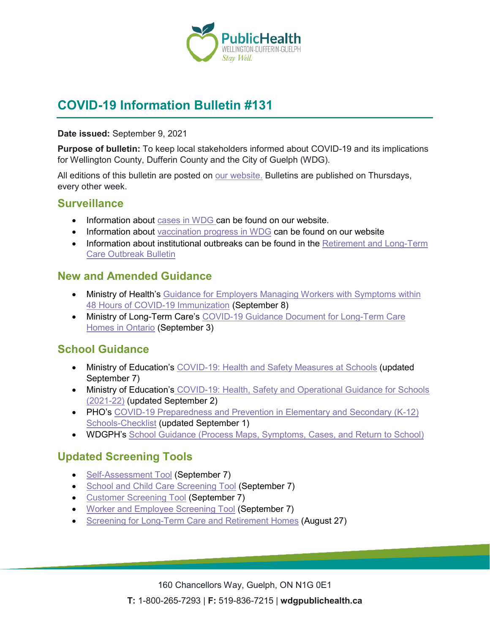

# **COVID-19 Information Bulletin #131**

#### **Date issued:** September 9, 2021

**Purpose of bulletin:** To keep local stakeholders informed about COVID-19 and its implications for Wellington County, Dufferin County and the City of Guelph (WDG).

All editions of this bulletin are posted on [our website.](https://www.wdgpublichealth.ca/your-health/covid-19-information-workplaces-and-living-spaces/community-stakeholder-bulletins) Bulletins are published on Thursdays, every other week.

### **Surveillance**

- Information about [cases in WDG](https://wdgpublichealth.ca/your-health/covid-19-information-public/status-cases-wdg) can be found on our website.
- Information about [vaccination progress](https://www.wdgpublichealth.ca/your-health/covid-19-information-public/covid-19-vaccine-information-public) in WDG can be found on our website
- Information about institutional outbreaks can be found in the Retirement and Long-Term [Care Outbreak Bulletin](https://wdgpublichealth.ca/node/1542)

### **New and Amended Guidance**

- Ministry of Health's Guidance for Employers Managing Workers with Symptoms within [48 Hours of COVID-19 Immunization](https://www.health.gov.on.ca/en/pro/programs/publichealth/coronavirus/docs/guidance_for_screening_vaccinated_individuals.pdf) (September 8)
- Ministry of Long-Term Care's [COVID-19 Guidance Document for Long-Term Care](https://www.ontario.ca/page/covid-19-guidance-document-long-term-care-homes-ontario)  [Homes in Ontario](https://www.ontario.ca/page/covid-19-guidance-document-long-term-care-homes-ontario) (September 3)

# **School Guidance**

- Ministry of Education's [COVID-19: Health and Safety Measures at Schools](https://www.ontario.ca/page/covid-19-health-and-safety-measures-schools) (updated September 7)
- Ministry of Education's COVID-19: Health, Safety and Operational Guidance for Schools [\(2021-22\)](http://www.ontario.ca/document/covid-19-health-safety-and-operational-guidance-schools-2021-2022) (updated September 2)
- PHO's COVID-19 Preparedness and Prevention in Elementary and Secondary (K-12) [Schools-Checklist](https://www.publichealthontario.ca/-/media/documents/ncov/sch/2020/09/covid-19-checklist-preparedness-schools.pdf?sc_lang=en) (updated September 1)
- WDGPH's [School Guidance \(Process Maps, Symptoms, Cases, and Return to School\)](https://www.wdgpublichealth.ca/your-health/covid-19-information-schools-parents-and-teachers/schools)

# **Updated Screening Tools**

- [Self-Assessment Tool](https://covid-19.ontario.ca/self-assessment/) (September 7)
- [School and Child Care Screening Tool](https://covid-19.ontario.ca/school-screening/) (September 7)
- [Customer Screening Tool](https://covid-19.ontario.ca/screening/customer/) (September 7)
- [Worker and Employee Screening Tool](https://covid-19.ontario.ca/screening/worker/) (September 7)
- [Screening for Long-Term Care and Retirement Homes](https://www.health.gov.on.ca/en/pro/programs/publichealth/coronavirus/docs/2019_screening_guidance.pdf) (August 27)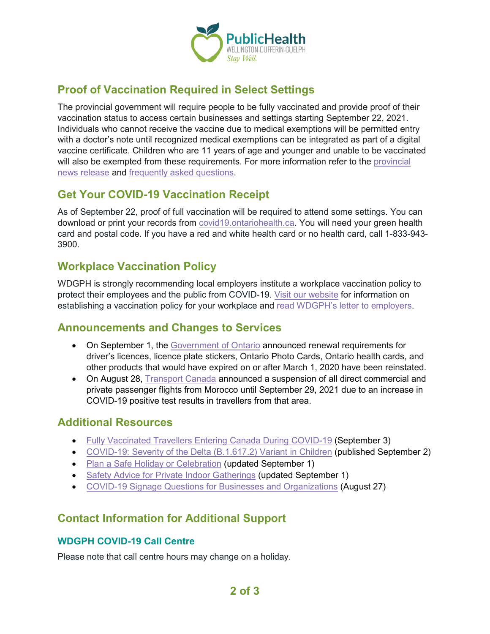

# **Proof of Vaccination Required in Select Settings**

The provincial government will require people to be fully vaccinated and provide proof of their vaccination status to access certain businesses and settings starting September 22, 2021. Individuals who cannot receive the vaccine due to medical exemptions will be permitted entry with a doctor's note until recognized medical exemptions can be integrated as part of a digital vaccine certificate. Children who are 11 years of age and younger and unable to be vaccinated will also be exempted from these requirements. For more information refer to the [provincial](https://news.ontario.ca/en/release/1000779/ontario-to-require-proof-of-vaccination-in-select-settings)  [news release](https://news.ontario.ca/en/release/1000779/ontario-to-require-proof-of-vaccination-in-select-settings) and [frequently asked questions.](https://news.ontario.ca/en/backgrounder/1000780/new-requirement-for-proof-of-vaccination-in-certain-settings-frequently-asked-questions)

# **Get Your COVID-19 Vaccination Receipt**

As of September 22, proof of full vaccination will be required to attend some settings. You can download or print your records from [covid19.ontariohealth.ca.](https://covid19.ontariohealth.ca/) You will need your green health card and postal code. If you have a red and white health card or no health card, call 1-833-943- 3900.

### **Workplace Vaccination Policy**

WDGPH is strongly recommending local employers institute a workplace vaccination policy to protect their employees and the public from COVID-19. [Visit our website](https://www.wdgpublichealth.ca/your-health/covid-19-information-workplaces-and-living-spaces/workplaces-and-businesses) for information on establishing a vaccination policy for your workplace and read [WDGPH's letter to employers.](https://www.wdgpublichealth.ca/sites/default/files/file-attachments/letter_employers_re_vaccination_policy_2021-08-31.pdf)

### **Announcements and Changes to Services**

- On September 1, the [Government of Ontario](https://news.ontario.ca/en/release/1000778/ontario-reinstating-renewal-requirements-for-drivers-licences-licence-plate-stickers-and-health-cards) announced renewal requirements for driver's licences, licence plate stickers, Ontario Photo Cards, Ontario health cards, and other products that would have expired on or after March 1, 2020 have been reinstated.
- On August 28, [Transport Canada](https://www.canada.ca/en/transport-canada/news/2021/08/transport-canada-suspending-all-direct-commercial-and-private-passenger-flights-from-morocco-until-september-29-2021.html) announced a suspension of all direct commercial and private passenger flights from Morocco until September 29, 2021 due to an increase in COVID-19 positive test results in travellers from that area.

### **Additional Resources**

- [Fully Vaccinated Travellers Entering Canada During COVID-19](https://www.canada.ca/en/public-health/services/diseases/2019-novel-coronavirus-infection/awareness-resources/fully-vaccinated-travellers-covid-19.html) (September 3)
- [COVID-19: Severity of the Delta \(B.1.617.2\) Variant in Children](https://www.publichealthontario.ca/-/media/documents/ncov/voc/2021/09/covid-19-severity-delta-children.pdf?sc_lang=en) (published September 2)
- [Plan a Safe Holiday or Celebration](https://www.canada.ca/en/public-health/services/diseases/2019-novel-coronavirus-infection/guidance-documents/plan-safe-holiday-celebration.html) (updated September 1)
- [Safety Advice for Private Indoor Gatherings](https://www.canada.ca/en/public-health/services/diseases/2019-novel-coronavirus-infection/prevention-risks/private-indoor-gatherings.html) (updated September 1)
- [COVID-19 Signage Questions for Businesses and Organizations](https://www.health.gov.on.ca/en/pro/programs/publichealth/coronavirus/docs/COVID_19_bus_orgs_question_signage.pdf) (August 27)

### **Contact Information for Additional Support**

#### **WDGPH COVID-19 Call Centre**

Please note that call centre hours may change on a holiday.

**2 of 3**